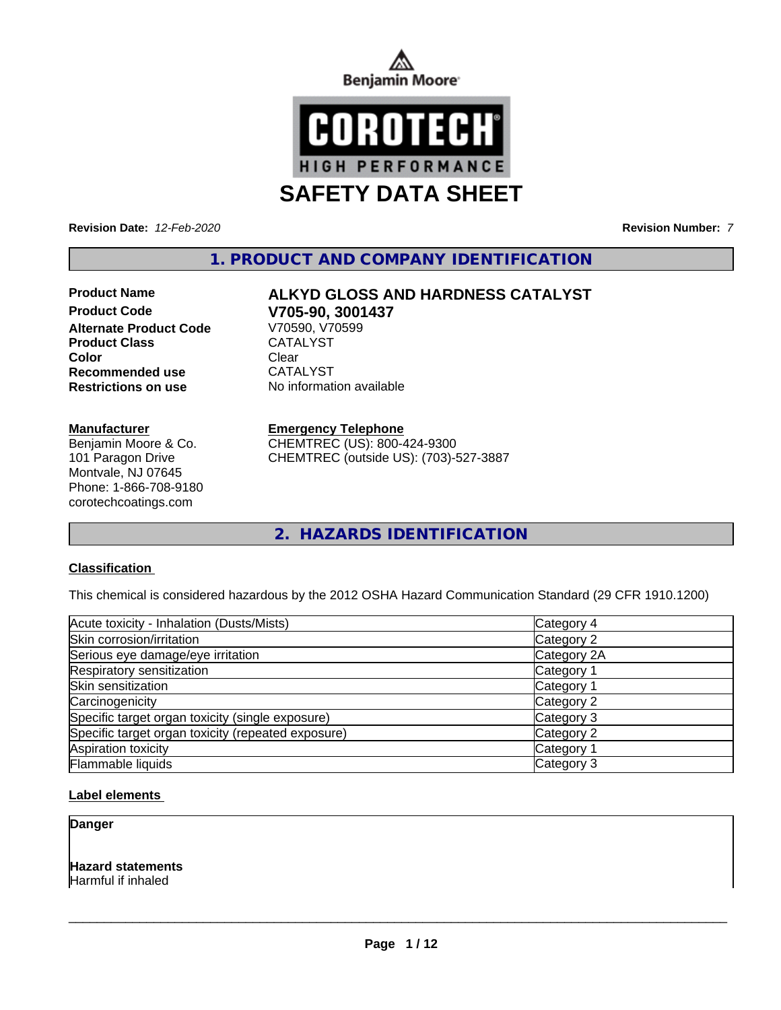



**Revision Date:** *12-Feb-2020* **Revision Number:** *7*

**1. PRODUCT AND COMPANY IDENTIFICATION**

**Product Code V705-90, 3001437 Alternate Product Code** Product Class CATALYST **Color** Clear Clear **Recommended use** CATALYST **Restrictions on use** No information available

#### **Manufacturer**

Benjamin Moore & Co. 101 Paragon Drive Montvale, NJ 07645 Phone: 1-866-708-9180 corotechcoatings.com

# **Product Name ALKYD GLOSS AND HARDNESS CATALYST**

#### **Emergency Telephone**

CHEMTREC (US): 800-424-9300 CHEMTREC (outside US): (703)-527-3887

**2. HAZARDS IDENTIFICATION**

### **Classification**

This chemical is considered hazardous by the 2012 OSHA Hazard Communication Standard (29 CFR 1910.1200)

| Acute toxicity - Inhalation (Dusts/Mists)          | Category 4  |
|----------------------------------------------------|-------------|
| Skin corrosion/irritation                          | Category 2  |
| Serious eye damage/eye irritation                  | Category 2A |
| Respiratory sensitization                          | Category 1  |
| Skin sensitization                                 | Category 1  |
| Carcinogenicity                                    | Category 2  |
| Specific target organ toxicity (single exposure)   | Category 3  |
| Specific target organ toxicity (repeated exposure) | Category 2  |
| Aspiration toxicity                                | Category 1  |
| Flammable liquids                                  | Category 3  |

### **Label elements**

**Danger**

**Hazard statements** Harmful if inhaled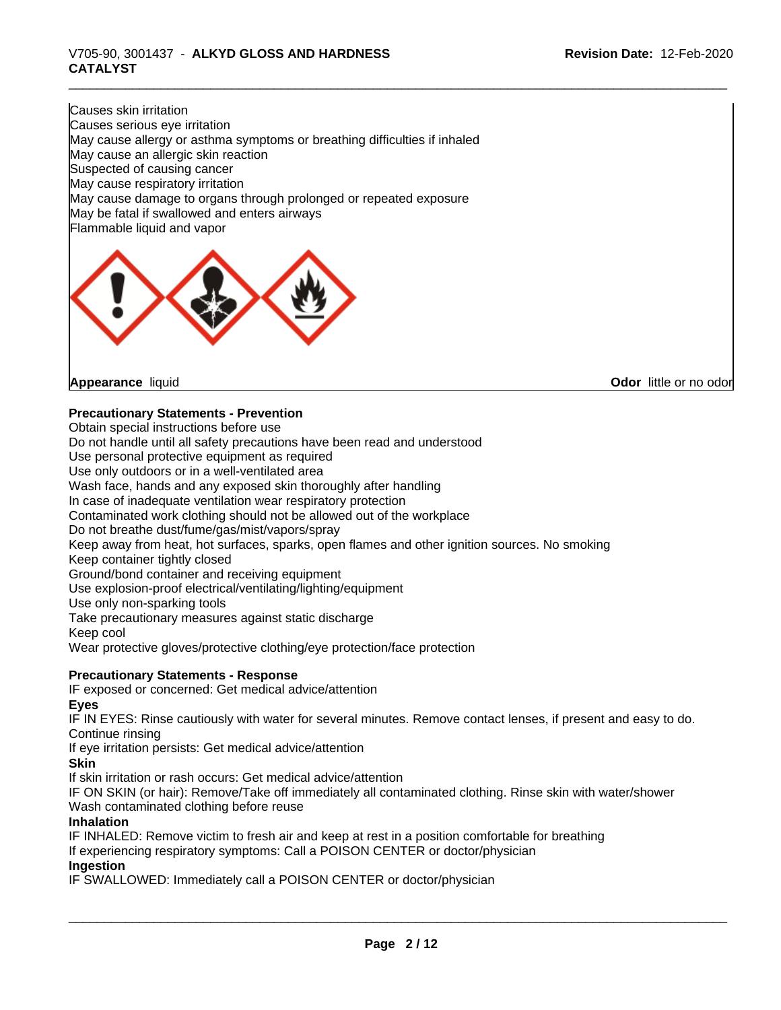### \_\_\_\_\_\_\_\_\_\_\_\_\_\_\_\_\_\_\_\_\_\_\_\_\_\_\_\_\_\_\_\_\_\_\_\_\_\_\_\_\_\_\_\_\_\_\_\_\_\_\_\_\_\_\_\_\_\_\_\_\_\_\_\_\_\_\_\_\_\_\_\_\_\_\_\_\_\_\_\_\_\_\_\_\_\_\_\_\_\_\_\_\_ V705-90, 3001437 - **ALKYD GLOSS AND HARDNESS CATALYST**

Causes skin irritation Causes serious eye irritation May cause allergy or asthma symptoms or breathing difficulties if inhaled May cause an allergic skin reaction Suspected of causing cancer May cause respiratory irritation May cause damage to organs through prolonged or repeated exposure May be fatal if swallowed and enters airways Flammable liquid and vapor



**Appearance** liquid

**Odor** little or no odor

### **Precautionary Statements - Prevention**

Obtain special instructions before use Do not handle until all safety precautions have been read and understood Use personal protective equipment as required Use only outdoors or in a well-ventilated area Wash face, hands and any exposed skin thoroughly after handling In case of inadequate ventilation wear respiratory protection Contaminated work clothing should not be allowed out of the workplace Do not breathe dust/fume/gas/mist/vapors/spray Keep away from heat, hot surfaces, sparks, open flames and other ignition sources. No smoking Keep container tightly closed Ground/bond container and receiving equipment Use explosion-proof electrical/ventilating/lighting/equipment Use only non-sparking tools Take precautionary measures against static discharge Keep cool Wear protective gloves/protective clothing/eye protection/face protection

### **Precautionary Statements - Response**

IF exposed or concerned: Get medical advice/attention **Eyes**

IF IN EYES: Rinse cautiously with water for several minutes. Remove contact lenses, if present and easy to do. Continue rinsing

If eye irritation persists: Get medical advice/attention

### **Skin**

If skin irritation or rash occurs: Get medical advice/attention

IF ON SKIN (or hair): Remove/Take off immediately all contaminated clothing. Rinse skin with water/shower Wash contaminated clothing before reuse

#### **Inhalation**

IF INHALED: Remove victim to fresh air and keep at rest in a position comfortable for breathing

If experiencing respiratory symptoms: Call a POISON CENTER or doctor/physician

### **Ingestion**

IF SWALLOWED: Immediately call a POISON CENTER or doctor/physician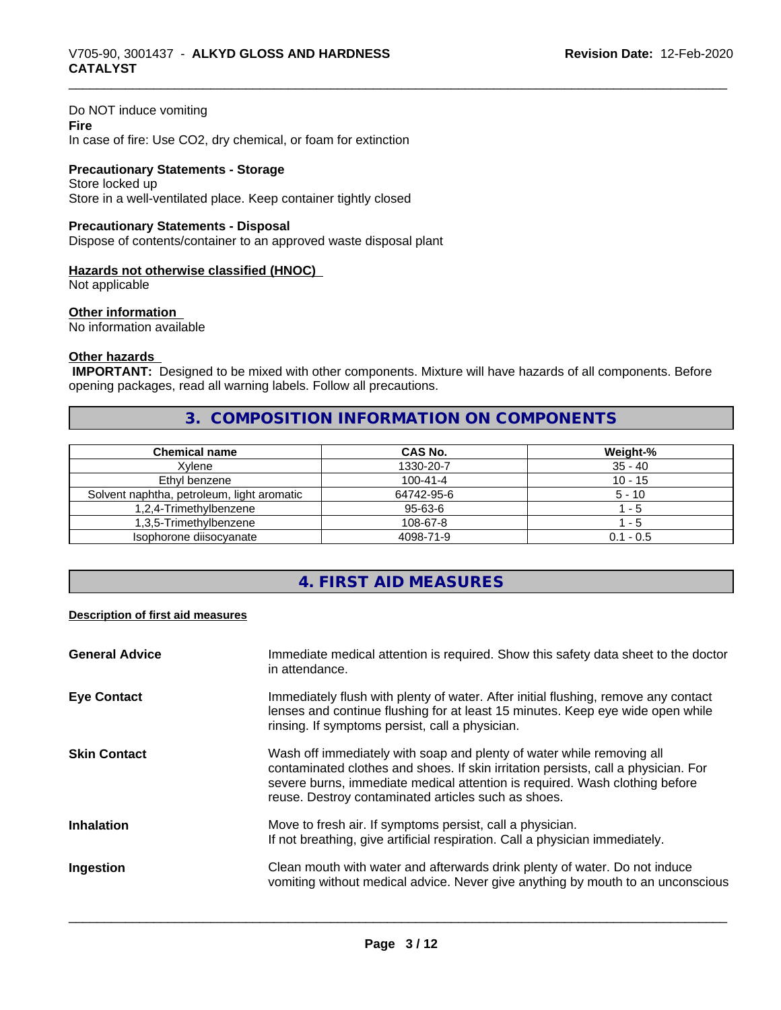#### Do NOT induce vomiting

**Fire** In case of fire: Use CO2, dry chemical, or foam for extinction

#### **Precautionary Statements - Storage** Store locked up

Store in a well-ventilated place. Keep container tightly closed

#### **Precautionary Statements - Disposal**

Dispose of contents/container to an approved waste disposal plant

#### **Hazards not otherwise classified (HNOC)**

Not applicable

#### **Other information**

No information available

### **Other hazards**

 **IMPORTANT:** Designed to be mixed with other components. Mixture will have hazards of all components. Before opening packages, read all warning labels. Follow all precautions.

## **3. COMPOSITION INFORMATION ON COMPONENTS**

| Chemical name                              | CAS No.        | Weight-%    |
|--------------------------------------------|----------------|-------------|
| Xvlene                                     | 1330-20-7      | $35 - 40$   |
| Ethyl benzene                              | $100 - 41 - 4$ | $10 - 15$   |
| Solvent naphtha, petroleum, light aromatic | 64742-95-6     | $5 - 10$    |
| 1,2,4-Trimethylbenzene                     | 95-63-6        | - 5         |
| 1.3.5-Trimethvlbenzene                     | 108-67-8       | - 5         |
| Isophorone diisocyanate                    | 4098-71-9      | $0.1 - 0.5$ |

# **4. FIRST AID MEASURES**

#### **Description of first aid measures**

| <b>General Advice</b><br>Immediate medical attention is required. Show this safety data sheet to the doctor<br>in attendance.                                                                                                                                                                                            |  |
|--------------------------------------------------------------------------------------------------------------------------------------------------------------------------------------------------------------------------------------------------------------------------------------------------------------------------|--|
| Immediately flush with plenty of water. After initial flushing, remove any contact<br><b>Eye Contact</b><br>lenses and continue flushing for at least 15 minutes. Keep eye wide open while<br>rinsing. If symptoms persist, call a physician.                                                                            |  |
| Wash off immediately with soap and plenty of water while removing all<br><b>Skin Contact</b><br>contaminated clothes and shoes. If skin irritation persists, call a physician. For<br>severe burns, immediate medical attention is required. Wash clothing before<br>reuse. Destroy contaminated articles such as shoes. |  |
| Move to fresh air. If symptoms persist, call a physician.<br><b>Inhalation</b><br>If not breathing, give artificial respiration. Call a physician immediately.                                                                                                                                                           |  |
| Clean mouth with water and afterwards drink plenty of water. Do not induce<br>Ingestion<br>vomiting without medical advice. Never give anything by mouth to an unconscious                                                                                                                                               |  |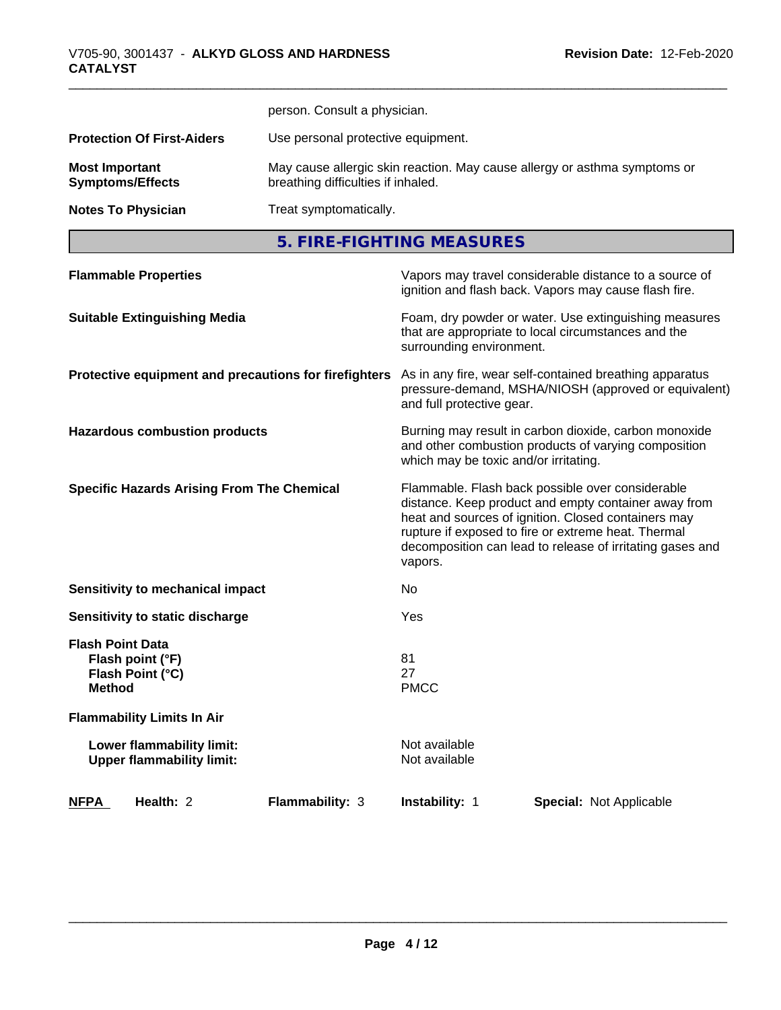|                                                  | person. Consult a physician.                                                                                    |
|--------------------------------------------------|-----------------------------------------------------------------------------------------------------------------|
| <b>Protection Of First-Aiders</b>                | Use personal protective equipment.                                                                              |
| <b>Most Important</b><br><b>Symptoms/Effects</b> | May cause allergic skin reaction. May cause allergy or asthma symptoms or<br>breathing difficulties if inhaled. |
| <b>Notes To Physician</b>                        | Treat symptomatically.                                                                                          |
|                                                  | 5. FIRE-FIGHTING MEASURES                                                                                       |

| <b>Flammable Properties</b>                                                      | Vapors may travel considerable distance to a source of<br>ignition and flash back. Vapors may cause flash fire.                                                                                                                                                                                |
|----------------------------------------------------------------------------------|------------------------------------------------------------------------------------------------------------------------------------------------------------------------------------------------------------------------------------------------------------------------------------------------|
| <b>Suitable Extinguishing Media</b>                                              | Foam, dry powder or water. Use extinguishing measures<br>that are appropriate to local circumstances and the<br>surrounding environment.                                                                                                                                                       |
| Protective equipment and precautions for firefighters                            | As in any fire, wear self-contained breathing apparatus<br>pressure-demand, MSHA/NIOSH (approved or equivalent)<br>and full protective gear.                                                                                                                                                   |
| <b>Hazardous combustion products</b>                                             | Burning may result in carbon dioxide, carbon monoxide<br>and other combustion products of varying composition<br>which may be toxic and/or irritating.                                                                                                                                         |
| <b>Specific Hazards Arising From The Chemical</b>                                | Flammable. Flash back possible over considerable<br>distance. Keep product and empty container away from<br>heat and sources of ignition. Closed containers may<br>rupture if exposed to fire or extreme heat. Thermal<br>decomposition can lead to release of irritating gases and<br>vapors. |
| <b>Sensitivity to mechanical impact</b>                                          | No.                                                                                                                                                                                                                                                                                            |
| Sensitivity to static discharge                                                  | Yes                                                                                                                                                                                                                                                                                            |
| <b>Flash Point Data</b><br>Flash point (°F)<br>Flash Point (°C)<br><b>Method</b> | 81<br>27<br><b>PMCC</b>                                                                                                                                                                                                                                                                        |
| <b>Flammability Limits In Air</b>                                                |                                                                                                                                                                                                                                                                                                |
| Lower flammability limit:<br><b>Upper flammability limit:</b>                    | Not available<br>Not available                                                                                                                                                                                                                                                                 |
| Health: 2<br>Flammability: 3<br><b>NFPA</b>                                      | <b>Instability: 1</b><br><b>Special: Not Applicable</b>                                                                                                                                                                                                                                        |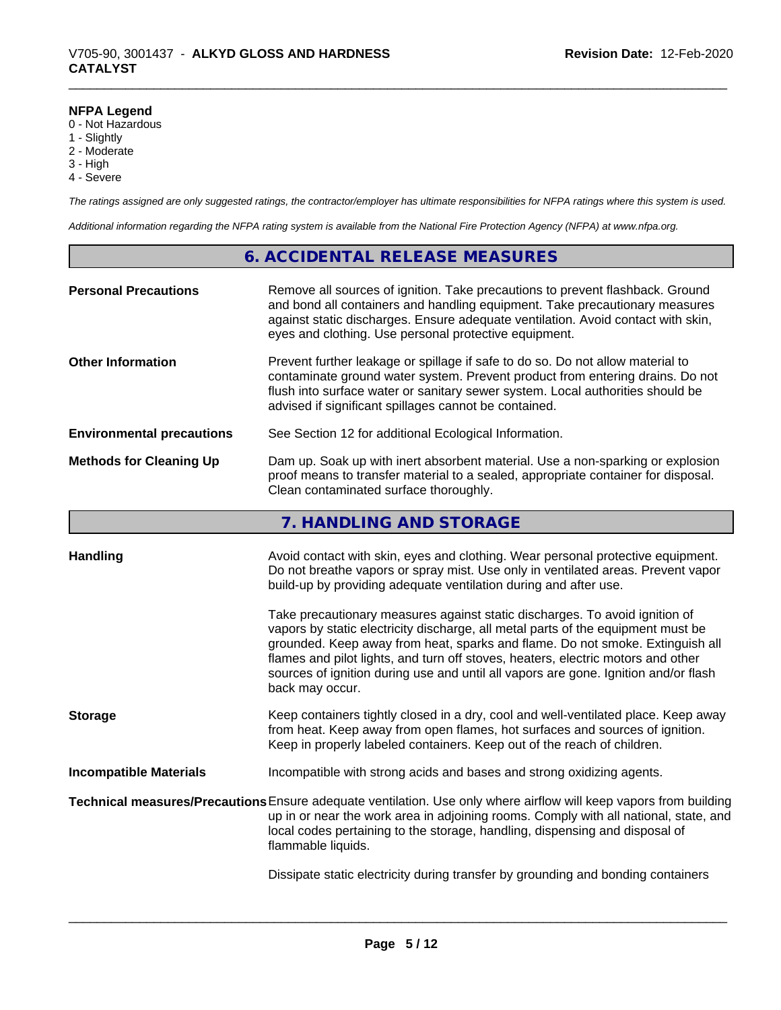### **NFPA Legend**

- 0 Not Hazardous
- 1 Slightly
- 2 Moderate
- 3 High
- 4 Severe

*The ratings assigned are only suggested ratings, the contractor/employer has ultimate responsibilities for NFPA ratings where this system is used.*

*Additional information regarding the NFPA rating system is available from the National Fire Protection Agency (NFPA) at www.nfpa.org.*

### **6. ACCIDENTAL RELEASE MEASURES**

| <b>Personal Precautions</b>      | Remove all sources of ignition. Take precautions to prevent flashback. Ground<br>and bond all containers and handling equipment. Take precautionary measures<br>against static discharges. Ensure adequate ventilation. Avoid contact with skin,<br>eyes and clothing. Use personal protective equipment.  |
|----------------------------------|------------------------------------------------------------------------------------------------------------------------------------------------------------------------------------------------------------------------------------------------------------------------------------------------------------|
| <b>Other Information</b>         | Prevent further leakage or spillage if safe to do so. Do not allow material to<br>contaminate ground water system. Prevent product from entering drains. Do not<br>flush into surface water or sanitary sewer system. Local authorities should be<br>advised if significant spillages cannot be contained. |
| <b>Environmental precautions</b> | See Section 12 for additional Ecological Information.                                                                                                                                                                                                                                                      |
| <b>Methods for Cleaning Up</b>   | Dam up. Soak up with inert absorbent material. Use a non-sparking or explosion<br>proof means to transfer material to a sealed, appropriate container for disposal.<br>Clean contaminated surface thoroughly.                                                                                              |

## **7. HANDLING AND STORAGE**

| <b>Handling</b>               | Avoid contact with skin, eyes and clothing. Wear personal protective equipment.<br>Do not breathe vapors or spray mist. Use only in ventilated areas. Prevent vapor<br>build-up by providing adequate ventilation during and after use.                                                                                                                                                                                                        |
|-------------------------------|------------------------------------------------------------------------------------------------------------------------------------------------------------------------------------------------------------------------------------------------------------------------------------------------------------------------------------------------------------------------------------------------------------------------------------------------|
|                               | Take precautionary measures against static discharges. To avoid ignition of<br>vapors by static electricity discharge, all metal parts of the equipment must be<br>grounded. Keep away from heat, sparks and flame. Do not smoke. Extinguish all<br>flames and pilot lights, and turn off stoves, heaters, electric motors and other<br>sources of ignition during use and until all vapors are gone. Ignition and/or flash<br>back may occur. |
| <b>Storage</b>                | Keep containers tightly closed in a dry, cool and well-ventilated place. Keep away<br>from heat. Keep away from open flames, hot surfaces and sources of ignition.<br>Keep in properly labeled containers. Keep out of the reach of children.                                                                                                                                                                                                  |
| <b>Incompatible Materials</b> | Incompatible with strong acids and bases and strong oxidizing agents.                                                                                                                                                                                                                                                                                                                                                                          |
|                               | Technical measures/Precautions Ensure adequate ventilation. Use only where airflow will keep vapors from building<br>up in or near the work area in adjoining rooms. Comply with all national, state, and<br>local codes pertaining to the storage, handling, dispensing and disposal of<br>flammable liquids.                                                                                                                                 |
|                               | Dissipate static electricity during transfer by grounding and bonding containers                                                                                                                                                                                                                                                                                                                                                               |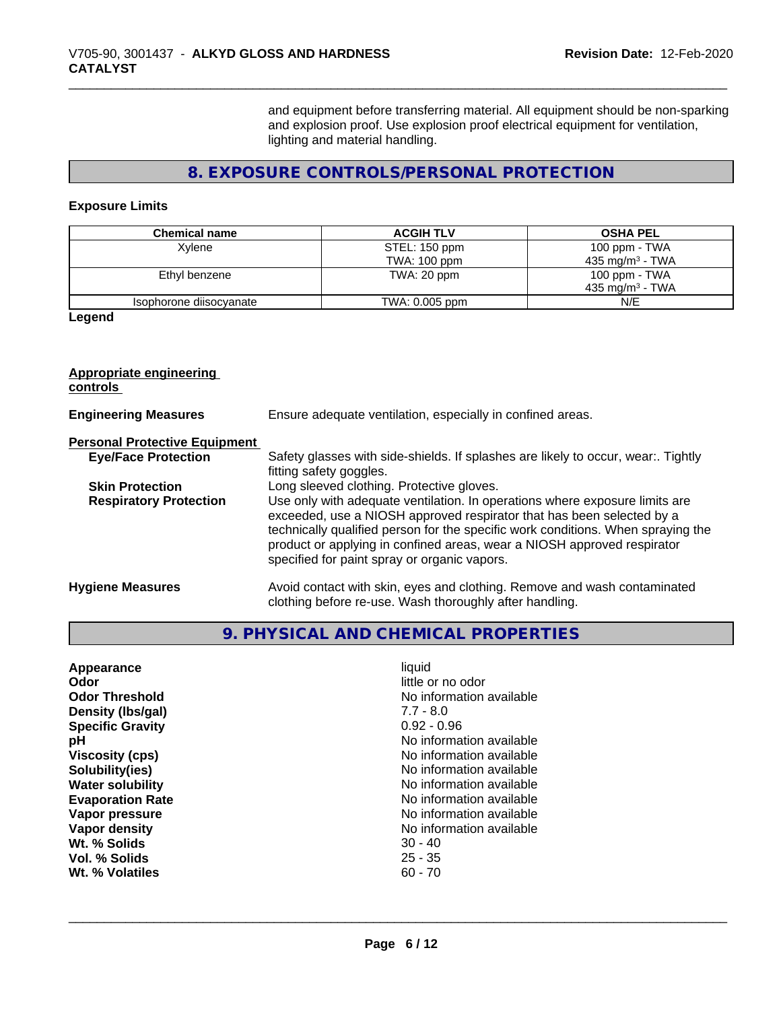and equipment before transferring material. All equipment should be non-sparking and explosion proof. Use explosion proof electrical equipment for ventilation, lighting and material handling.

# **8. EXPOSURE CONTROLS/PERSONAL PROTECTION**

### **Exposure Limits**

| <b>Chemical name</b>    | <b>ACGIH TLV</b> | <b>OSHA PEL</b>             |
|-------------------------|------------------|-----------------------------|
| Xvlene                  | STEL: 150 ppm    | 100 ppm - TWA               |
|                         | TWA: 100 ppm     | 435 mg/m <sup>3</sup> - TWA |
| Ethyl benzene           | TWA: 20 ppm      | 100 ppm - TWA               |
|                         |                  | 435 mg/m <sup>3</sup> - TWA |
| Isophorone diisocyanate | TWA: 0.005 ppm   | N/E                         |

**Legend**

# **Appropriate engineering**

**controls** 

| <b>Engineering Measures</b>          | Ensure adequate ventilation, especially in confined areas.                                                                                                                                                                                                                                                                                                          |  |
|--------------------------------------|---------------------------------------------------------------------------------------------------------------------------------------------------------------------------------------------------------------------------------------------------------------------------------------------------------------------------------------------------------------------|--|
| <b>Personal Protective Equipment</b> |                                                                                                                                                                                                                                                                                                                                                                     |  |
| <b>Eye/Face Protection</b>           | Safety glasses with side-shields. If splashes are likely to occur, wear:. Tightly<br>fitting safety goggles.                                                                                                                                                                                                                                                        |  |
| <b>Skin Protection</b>               | Long sleeved clothing. Protective gloves.                                                                                                                                                                                                                                                                                                                           |  |
| <b>Respiratory Protection</b>        | Use only with adequate ventilation. In operations where exposure limits are<br>exceeded, use a NIOSH approved respirator that has been selected by a<br>technically qualified person for the specific work conditions. When spraying the<br>product or applying in confined areas, wear a NIOSH approved respirator<br>specified for paint spray or organic vapors. |  |
| <b>Hygiene Measures</b>              | Avoid contact with skin, eyes and clothing. Remove and wash contaminated<br>clothing before re-use. Wash thoroughly after handling.                                                                                                                                                                                                                                 |  |

# **9. PHYSICAL AND CHEMICAL PROPERTIES**

| Wt. % Solids<br>$30 - 40$<br>Vol. % Solids<br>$25 - 35$<br>$60 - 70$<br>Wt. % Volatiles | liquid<br>Appearance<br>Odor<br><b>Odor Threshold</b><br>Density (Ibs/gal)<br><b>Specific Gravity</b><br>рH<br><b>Viscosity (cps)</b><br>Solubility(ies)<br><b>Water solubility</b><br><b>Evaporation Rate</b><br>Vapor pressure<br>Vapor density | little or no odor<br>No information available<br>$7.7 - 8.0$<br>$0.92 - 0.96$<br>No information available<br>No information available<br>No information available<br>No information available<br>No information available<br>No information available<br>No information available |
|-----------------------------------------------------------------------------------------|---------------------------------------------------------------------------------------------------------------------------------------------------------------------------------------------------------------------------------------------------|-----------------------------------------------------------------------------------------------------------------------------------------------------------------------------------------------------------------------------------------------------------------------------------|
|-----------------------------------------------------------------------------------------|---------------------------------------------------------------------------------------------------------------------------------------------------------------------------------------------------------------------------------------------------|-----------------------------------------------------------------------------------------------------------------------------------------------------------------------------------------------------------------------------------------------------------------------------------|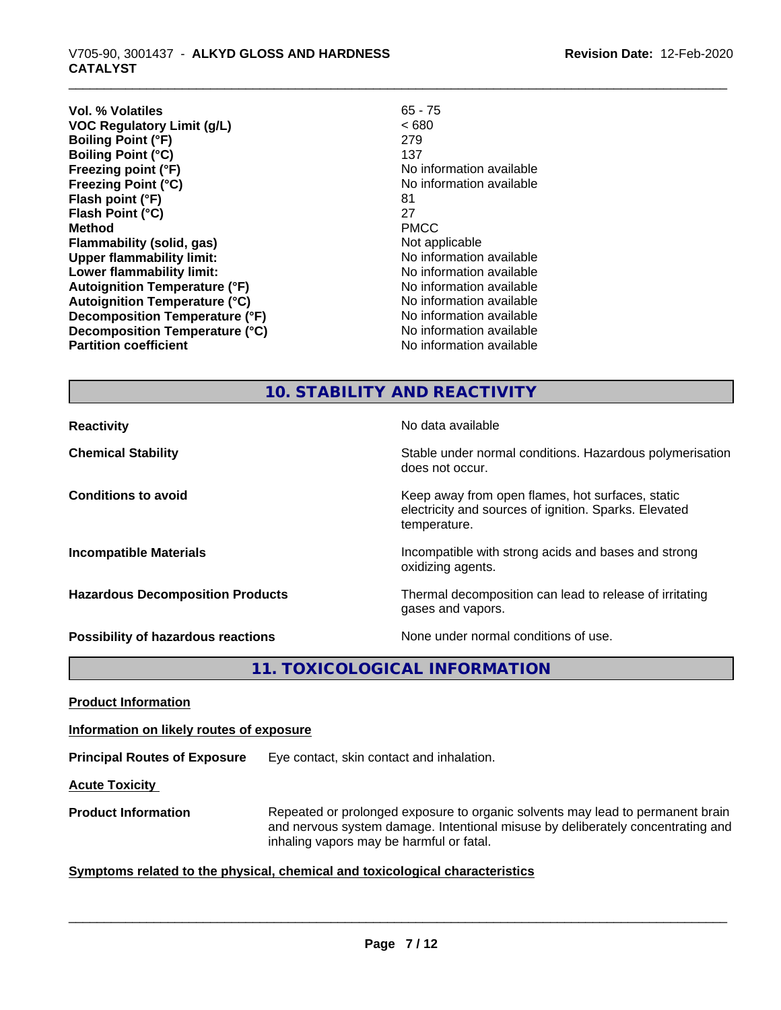| Vol. % Volatiles                     | $65 - 75$                |
|--------------------------------------|--------------------------|
| <b>VOC Regulatory Limit (g/L)</b>    | <680                     |
| <b>Boiling Point (°F)</b>            | 279                      |
| <b>Boiling Point (°C)</b>            | 137                      |
| Freezing point (°F)                  | No information available |
| <b>Freezing Point (°C)</b>           | No information available |
| Flash point (°F)                     | 81                       |
| Flash Point (°C)                     | 27                       |
| <b>Method</b>                        | <b>PMCC</b>              |
| Flammability (solid, gas)            | Not applicable           |
| <b>Upper flammability limit:</b>     | No information available |
| Lower flammability limit:            | No information available |
| <b>Autoignition Temperature (°F)</b> | No information available |
| <b>Autoignition Temperature (°C)</b> | No information available |
| Decomposition Temperature (°F)       | No information available |
| Decomposition Temperature (°C)       | No information available |
| <b>Partition coefficient</b>         | No information available |
|                                      |                          |

# **10. STABILITY AND REACTIVITY**

| <b>Reactivity</b>                         | No data available                                                                                                         |
|-------------------------------------------|---------------------------------------------------------------------------------------------------------------------------|
| <b>Chemical Stability</b>                 | Stable under normal conditions. Hazardous polymerisation<br>does not occur.                                               |
| <b>Conditions to avoid</b>                | Keep away from open flames, hot surfaces, static<br>electricity and sources of ignition. Sparks. Elevated<br>temperature. |
| <b>Incompatible Materials</b>             | Incompatible with strong acids and bases and strong<br>oxidizing agents.                                                  |
| <b>Hazardous Decomposition Products</b>   | Thermal decomposition can lead to release of irritating<br>gases and vapors.                                              |
| <b>Possibility of hazardous reactions</b> | None under normal conditions of use.                                                                                      |

**11. TOXICOLOGICAL INFORMATION**

**Product Information**

**Information on likely routes of exposure**

**Principal Routes of Exposure** Eye contact, skin contact and inhalation.

**Acute Toxicity** 

**Product Information** Repeated or prolonged exposure to organic solvents may lead to permanent brain and nervous system damage. Intentional misuse by deliberately concentrating and inhaling vapors may be harmful or fatal.

### **<u>Symptoms related to the physical, chemical and toxicological characteristics</u>**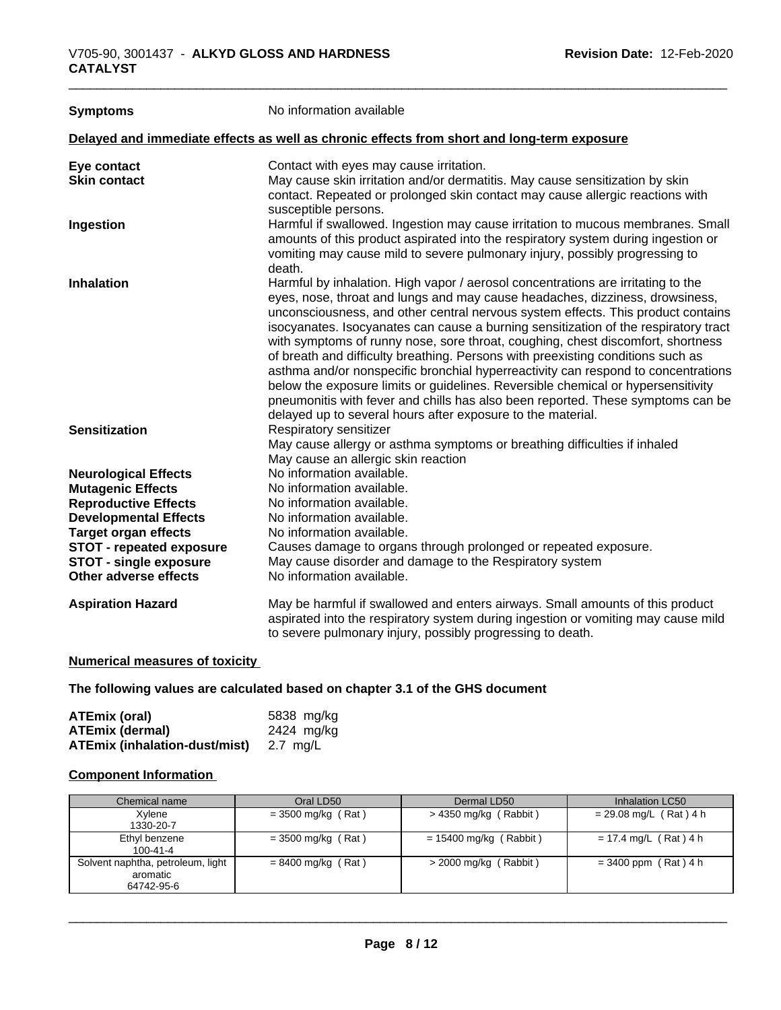| <b>Symptoms</b>                 | No information available                                                                                                                                                                                                                                                                                                                                                                                                                                                                                                                                                                                                                                                                                                                                                                                                                     |
|---------------------------------|----------------------------------------------------------------------------------------------------------------------------------------------------------------------------------------------------------------------------------------------------------------------------------------------------------------------------------------------------------------------------------------------------------------------------------------------------------------------------------------------------------------------------------------------------------------------------------------------------------------------------------------------------------------------------------------------------------------------------------------------------------------------------------------------------------------------------------------------|
|                                 | Delayed and immediate effects as well as chronic effects from short and long-term exposure                                                                                                                                                                                                                                                                                                                                                                                                                                                                                                                                                                                                                                                                                                                                                   |
| Eye contact                     | Contact with eyes may cause irritation.                                                                                                                                                                                                                                                                                                                                                                                                                                                                                                                                                                                                                                                                                                                                                                                                      |
| <b>Skin contact</b>             | May cause skin irritation and/or dermatitis. May cause sensitization by skin<br>contact. Repeated or prolonged skin contact may cause allergic reactions with<br>susceptible persons.                                                                                                                                                                                                                                                                                                                                                                                                                                                                                                                                                                                                                                                        |
| Ingestion                       | Harmful if swallowed. Ingestion may cause irritation to mucous membranes. Small<br>amounts of this product aspirated into the respiratory system during ingestion or<br>vomiting may cause mild to severe pulmonary injury, possibly progressing to<br>death.                                                                                                                                                                                                                                                                                                                                                                                                                                                                                                                                                                                |
| <b>Inhalation</b>               | Harmful by inhalation. High vapor / aerosol concentrations are irritating to the<br>eyes, nose, throat and lungs and may cause headaches, dizziness, drowsiness,<br>unconsciousness, and other central nervous system effects. This product contains<br>isocyanates. Isocyanates can cause a burning sensitization of the respiratory tract<br>with symptoms of runny nose, sore throat, coughing, chest discomfort, shortness<br>of breath and difficulty breathing. Persons with preexisting conditions such as<br>asthma and/or nonspecific bronchial hyperreactivity can respond to concentrations<br>below the exposure limits or guidelines. Reversible chemical or hypersensitivity<br>pneumonitis with fever and chills has also been reported. These symptoms can be<br>delayed up to several hours after exposure to the material. |
| <b>Sensitization</b>            | Respiratory sensitizer<br>May cause allergy or asthma symptoms or breathing difficulties if inhaled<br>May cause an allergic skin reaction                                                                                                                                                                                                                                                                                                                                                                                                                                                                                                                                                                                                                                                                                                   |
| <b>Neurological Effects</b>     | No information available.                                                                                                                                                                                                                                                                                                                                                                                                                                                                                                                                                                                                                                                                                                                                                                                                                    |
| <b>Mutagenic Effects</b>        | No information available.                                                                                                                                                                                                                                                                                                                                                                                                                                                                                                                                                                                                                                                                                                                                                                                                                    |
| <b>Reproductive Effects</b>     | No information available.                                                                                                                                                                                                                                                                                                                                                                                                                                                                                                                                                                                                                                                                                                                                                                                                                    |
| <b>Developmental Effects</b>    | No information available.                                                                                                                                                                                                                                                                                                                                                                                                                                                                                                                                                                                                                                                                                                                                                                                                                    |
| <b>Target organ effects</b>     | No information available.                                                                                                                                                                                                                                                                                                                                                                                                                                                                                                                                                                                                                                                                                                                                                                                                                    |
| <b>STOT - repeated exposure</b> | Causes damage to organs through prolonged or repeated exposure.                                                                                                                                                                                                                                                                                                                                                                                                                                                                                                                                                                                                                                                                                                                                                                              |
| <b>STOT - single exposure</b>   | May cause disorder and damage to the Respiratory system                                                                                                                                                                                                                                                                                                                                                                                                                                                                                                                                                                                                                                                                                                                                                                                      |
| <b>Other adverse effects</b>    | No information available.                                                                                                                                                                                                                                                                                                                                                                                                                                                                                                                                                                                                                                                                                                                                                                                                                    |
| <b>Aspiration Hazard</b>        | May be harmful if swallowed and enters airways. Small amounts of this product<br>aspirated into the respiratory system during ingestion or vomiting may cause mild<br>to severe pulmonary injury, possibly progressing to death.                                                                                                                                                                                                                                                                                                                                                                                                                                                                                                                                                                                                             |

### **Numerical measures of toxicity**

**The following values are calculated based on chapter 3.1 of the GHS document**

| ATEmix (oral)                 | 5838 mg/ka |
|-------------------------------|------------|
| <b>ATEmix (dermal)</b>        | 2424 mg/kg |
| ATEmix (inhalation-dust/mist) | 2.7 ma/L   |

### **Component Information**

| Chemical name                                               | Oral LD50            | Dermal LD50              | Inhalation LC50          |
|-------------------------------------------------------------|----------------------|--------------------------|--------------------------|
| Xylene<br>1330-20-7                                         | $=$ 3500 mg/kg (Rat) | $>$ 4350 mg/kg (Rabbit)  | $= 29.08$ mg/L (Rat) 4 h |
| Ethyl benzene<br>$100 - 41 - 4$                             | $=$ 3500 mg/kg (Rat) | $= 15400$ mg/kg (Rabbit) | $= 17.4$ mg/L (Rat) 4 h  |
| Solvent naphtha, petroleum, light<br>aromatic<br>64742-95-6 | $= 8400$ mg/kg (Rat) | $>$ 2000 mg/kg (Rabbit)  | $= 3400$ ppm (Rat) 4 h   |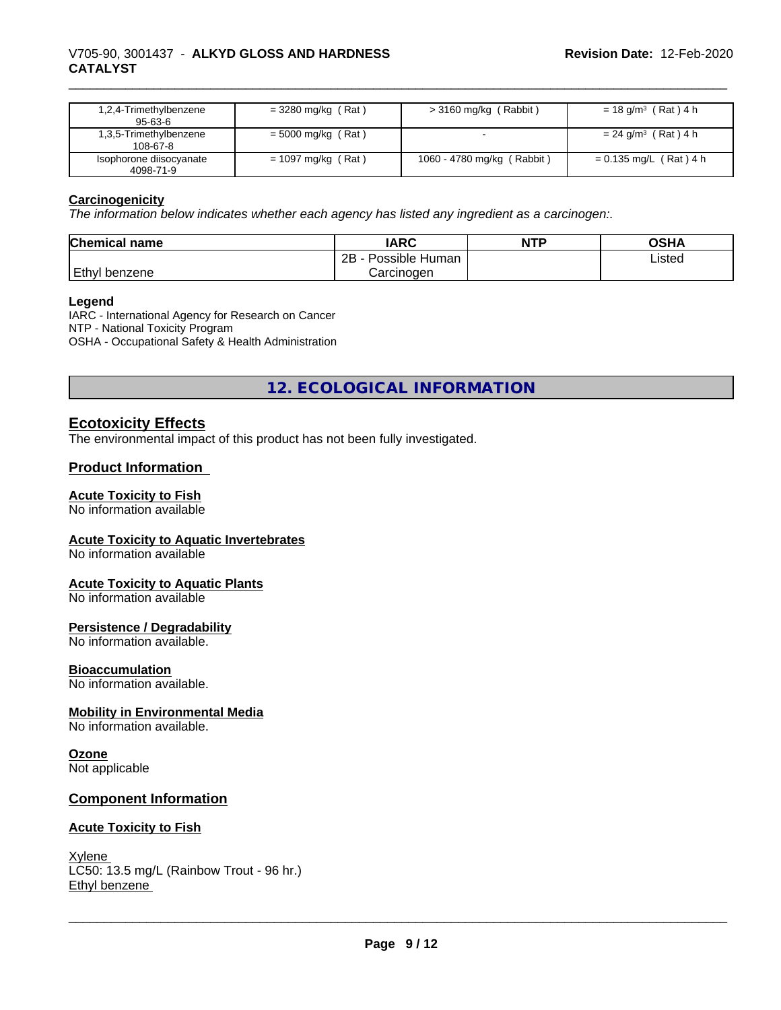### \_\_\_\_\_\_\_\_\_\_\_\_\_\_\_\_\_\_\_\_\_\_\_\_\_\_\_\_\_\_\_\_\_\_\_\_\_\_\_\_\_\_\_\_\_\_\_\_\_\_\_\_\_\_\_\_\_\_\_\_\_\_\_\_\_\_\_\_\_\_\_\_\_\_\_\_\_\_\_\_\_\_\_\_\_\_\_\_\_\_\_\_\_ V705-90, 3001437 - **ALKYD GLOSS AND HARDNESS CATALYST**

| 1,2,4-Trimethylbenzene<br>$95 - 63 - 6$  | $=$ 3280 mg/kg (Rat) | $>$ 3160 mg/kg (Rabbit)         | $= 18$ g/m <sup>3</sup> (Rat) 4 h |
|------------------------------------------|----------------------|---------------------------------|-----------------------------------|
| 1,3,5-Trimethylbenzene<br>$108 - 67 - 8$ | $= 5000$ mg/kg (Rat) |                                 | $= 24$ g/m <sup>3</sup> (Rat) 4 h |
| Isophorone diisocyanate<br>4098-71-9     | $= 1097$ mg/kg (Rat) | (Rabbit)<br>1060 - 4780 mg/kg ( | $= 0.135$ mg/L (Rat) 4 h          |

### **Carcinogenicity**

*The information below indicateswhether each agency has listed any ingredient as a carcinogen:.*

| <b>Chemical</b><br>name | <b>IARC</b>                      | <b>NTP</b> | <b>OSHA</b> |
|-------------------------|----------------------------------|------------|-------------|
|                         | . .<br>2B<br>Possible<br>: Human |            | Listed      |
| Ethyl<br>l benzene      | Carcinoɑen                       |            |             |

#### **Legend**

IARC - International Agency for Research on Cancer NTP - National Toxicity Program OSHA - Occupational Safety & Health Administration

**12. ECOLOGICAL INFORMATION**

### **Ecotoxicity Effects**

The environmental impact of this product has not been fully investigated.

### **Product Information**

#### **Acute Toxicity to Fish**

No information available

### **Acute Toxicity to Aquatic Invertebrates**

No information available

#### **Acute Toxicity to Aquatic Plants**

No information available

#### **Persistence / Degradability**

No information available.

#### **Bioaccumulation**

No information available.

#### **Mobility in Environmental Media**

No information available.

#### **Ozone**

Not applicable

### **Component Information**

#### **Acute Toxicity to Fish**

Xylene LC50: 13.5 mg/L (Rainbow Trout - 96 hr.) Ethyl benzene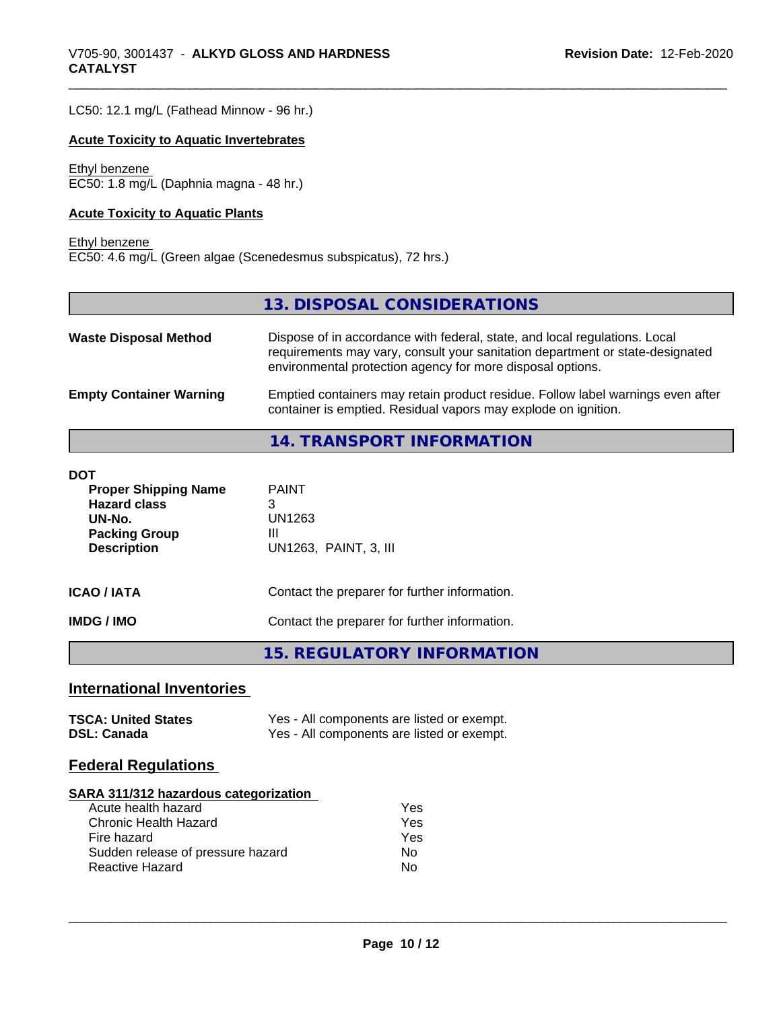LC50: 12.1 mg/L (Fathead Minnow - 96 hr.)

#### **Acute Toxicity to Aquatic Invertebrates**

#### Ethyl benzene EC50: 1.8 mg/L (Daphnia magna - 48 hr.)

### **Acute Toxicity to Aquatic Plants**

#### Ethyl benzene

EC50: 4.6 mg/L (Green algae (Scenedesmus subspicatus), 72 hrs.)

### **13. DISPOSAL CONSIDERATIONS**

| <b>Waste Disposal Method</b>   | Dispose of in accordance with federal, state, and local regulations. Local<br>requirements may vary, consult your sanitation department or state-designated<br>environmental protection agency for more disposal options. |
|--------------------------------|---------------------------------------------------------------------------------------------------------------------------------------------------------------------------------------------------------------------------|
| <b>Empty Container Warning</b> | Emptied containers may retain product residue. Follow label warnings even after<br>container is emptied. Residual vapors may explode on ignition.                                                                         |

# **14. TRANSPORT INFORMATION**

| DOT                                                                                                        |                                                           |
|------------------------------------------------------------------------------------------------------------|-----------------------------------------------------------|
| <b>Proper Shipping Name</b><br><b>Hazard class</b><br>UN-No.<br><b>Packing Group</b><br><b>Description</b> | <b>PAINT</b><br>3<br>UN1263<br>Ш<br>UN1263, PAINT, 3, III |
| ICAO / IATA                                                                                                | Contact the preparer for further information.             |
| IMDG / IMO                                                                                                 | Contact the preparer for further information.             |
|                                                                                                            | 15. REGULATORY INFORMATION                                |

### **International Inventories**

| <b>TSCA: United States</b> | Yes - All components are listed or exempt. |
|----------------------------|--------------------------------------------|
| <b>DSL: Canada</b>         | Yes - All components are listed or exempt. |

### **Federal Regulations**

#### **SARA 311/312 hazardous categorization**

| Acute health hazard               | Yes |
|-----------------------------------|-----|
| Chronic Health Hazard             | Yes |
| Fire hazard                       | Yes |
| Sudden release of pressure hazard | N٥  |
| Reactive Hazard                   | N٥  |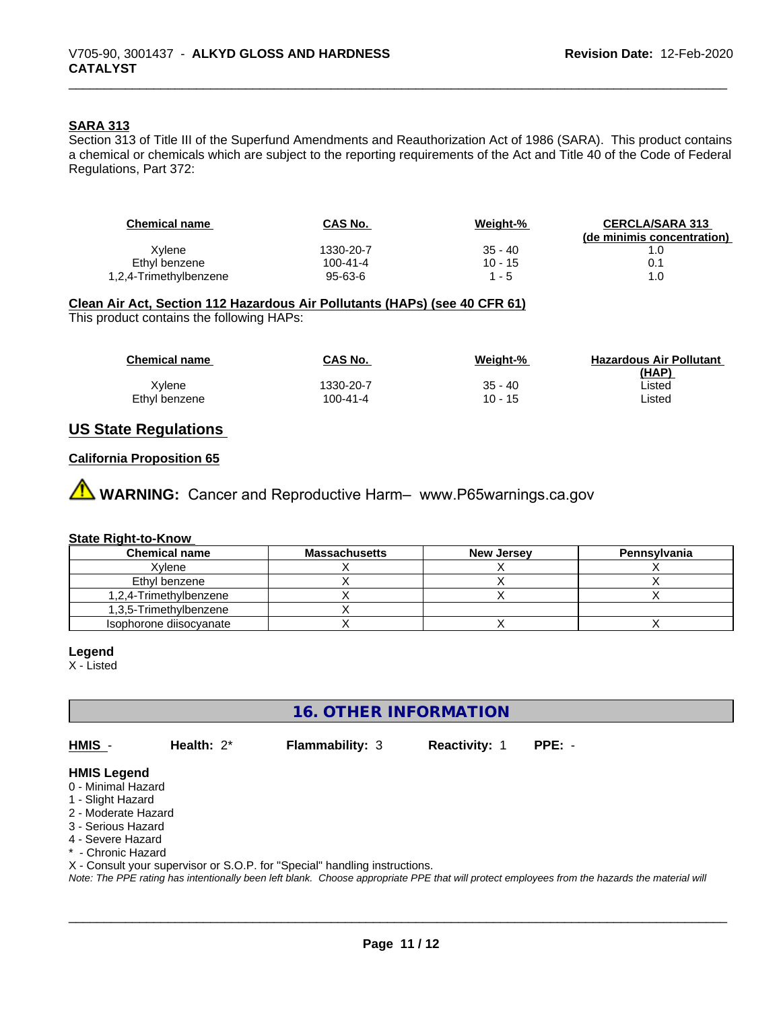### **SARA 313**

Section 313 of Title III of the Superfund Amendments and Reauthorization Act of 1986 (SARA). This product contains a chemical or chemicals which are subject to the reporting requirements of the Act and Title 40 of the Code of Federal Regulations, Part 372:

| CAS No.   | Weight-%  | <b>CERCLA/SARA 313</b>     |
|-----------|-----------|----------------------------|
|           |           | (de minimis concentration) |
| 1330-20-7 | $35 - 40$ |                            |
| 100-41-4  | $10 - 15$ |                            |
| 95-63-6   | 1 - 5     | 1.0                        |
|           |           |                            |

### **Clean Air Act,Section 112 Hazardous Air Pollutants (HAPs) (see 40 CFR 61)**

This product contains the following HAPs:

| <b>Chemical name</b> | <b>CAS No.</b> | Weight-%  | <b>Hazardous Air Pollutant</b><br>(HAP) |
|----------------------|----------------|-----------|-----------------------------------------|
| Xvlene               | 1330-20-7      | $35 - 40$ | Listed                                  |
| Ethyl benzene        | 100-41-4       | $10 - 15$ | Listed                                  |

### **US State Regulations**

#### **California Proposition 65**

**AVIMARNING:** Cancer and Reproductive Harm– www.P65warnings.ca.gov

#### **State Right-to-Know**

| <b>Chemical name</b>    | <b>Massachusetts</b> | <b>New Jersey</b> | Pennsylvania |
|-------------------------|----------------------|-------------------|--------------|
| Xvlene                  |                      |                   |              |
| Ethyl benzene           |                      |                   |              |
| 1,2,4-Trimethylbenzene  |                      |                   |              |
| 1,3,5-Trimethylbenzene  |                      |                   |              |
| Isophorone diisocvanate |                      |                   |              |

#### **Legend**

X - Listed

# **16. OTHER INFORMATION**

**HMIS** - **Health:** 2\* **Flammability:** 3 **Reactivity:** 1 **PPE:** -

 $\overline{\phantom{a}}$  ,  $\overline{\phantom{a}}$  ,  $\overline{\phantom{a}}$  ,  $\overline{\phantom{a}}$  ,  $\overline{\phantom{a}}$  ,  $\overline{\phantom{a}}$  ,  $\overline{\phantom{a}}$  ,  $\overline{\phantom{a}}$  ,  $\overline{\phantom{a}}$  ,  $\overline{\phantom{a}}$  ,  $\overline{\phantom{a}}$  ,  $\overline{\phantom{a}}$  ,  $\overline{\phantom{a}}$  ,  $\overline{\phantom{a}}$  ,  $\overline{\phantom{a}}$  ,  $\overline{\phantom{a}}$ 

#### **HMIS Legend**

- 0 Minimal Hazard
- 1 Slight Hazard
- 2 Moderate Hazard
- 3 Serious Hazard
- 4 Severe Hazard
- \* Chronic Hazard

X - Consult your supervisor or S.O.P. for "Special" handling instructions.

*Note: The PPE rating has intentionally been left blank. Choose appropriate PPE that will protect employees from the hazards the material will*